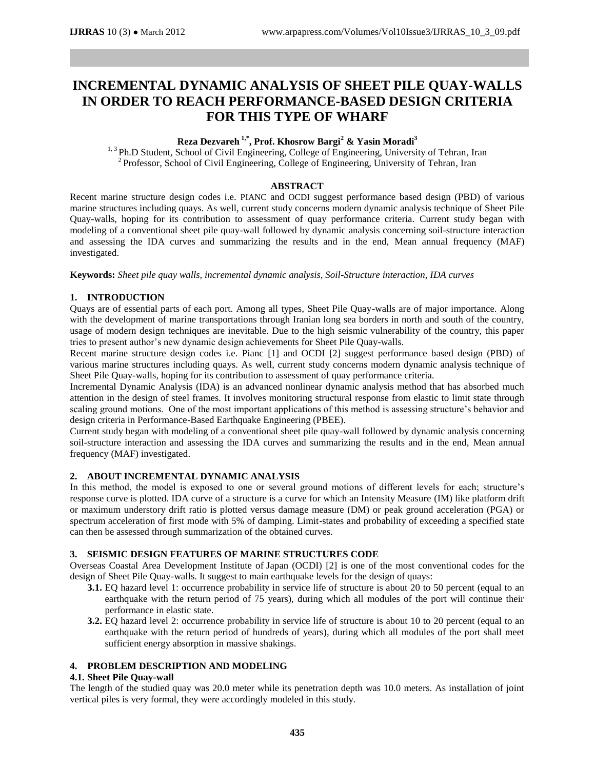# **INCREMENTAL DYNAMIC ANALYSIS OF SHEET PILE QUAY-WALLS IN ORDER TO REACH PERFORMANCE-BASED DESIGN CRITERIA FOR THIS TYPE OF WHARF**

# **Reza Dezvareh 1,\* , Prof. Khosrow Bargi<sup>2</sup> & Yasin Moradi<sup>3</sup>**

<sup>1, 3</sup> Ph.D Student, School of Civil Engineering, College of Engineering, University of Tehran, Iran <sup>2</sup> Professor, School of Civil Engineering, College of Engineering, University of Tehran, Iran

# **ABSTRACT**

Recent marine structure design codes i.e. PIANC and OCDI suggest performance based design (PBD) of various marine structures including quays. As well, current study concerns modern dynamic analysis technique of Sheet Pile Quay-walls, hoping for its contribution to assessment of quay performance criteria. Current study began with modeling of a conventional sheet pile quay-wall followed by dynamic analysis concerning soil-structure interaction and assessing the IDA curves and summarizing the results and in the end, Mean annual frequency (MAF) investigated.

**Keywords:** *Sheet pile quay walls, incremental dynamic analysis, Soil-Structure interaction, IDA curves*

# **1. INTRODUCTION**

Quays are of essential parts of each port. Among all types, Sheet Pile Quay-walls are of major importance. Along with the development of marine transportations through Iranian long sea borders in north and south of the country, usage of modern design techniques are inevitable. Due to the high seismic vulnerability of the country, this paper tries to present author's new dynamic design achievements for Sheet Pile Quay-walls.

Recent marine structure design codes i.e. Pianc [1] and OCDI [2] suggest performance based design (PBD) of various marine structures including quays. As well, current study concerns modern dynamic analysis technique of Sheet Pile Quay-walls, hoping for its contribution to assessment of quay performance criteria.

Incremental Dynamic Analysis (IDA) is an advanced nonlinear dynamic analysis method that has absorbed much attention in the design of steel frames. It involves monitoring structural response from elastic to limit state through scaling ground motions. One of the most important applications of this method is assessing structure's behavior and design criteria in Performance-Based Earthquake Engineering (PBEE).

Current study began with modeling of a conventional sheet pile quay-wall followed by dynamic analysis concerning soil-structure interaction and assessing the IDA curves and summarizing the results and in the end, Mean annual frequency (MAF) investigated.

# **2. ABOUT INCREMENTAL DYNAMIC ANALYSIS**

In this method, the model is exposed to one or several ground motions of different levels for each; structure's response curve is plotted. IDA curve of a structure is a curve for which an Intensity Measure (IM) like platform drift or maximum understory drift ratio is plotted versus damage measure (DM) or peak ground acceleration (PGA) or spectrum acceleration of first mode with 5% of damping. Limit-states and probability of exceeding a specified state can then be assessed through summarization of the obtained curves.

## **3. SEISMIC DESIGN FEATURES OF MARINE STRUCTURES CODE**

Overseas Coastal Area Development Institute of Japan (OCDI) [2] is one of the most conventional codes for the design of Sheet Pile Quay-walls. It suggest to main earthquake levels for the design of quays:

- **3.1.** EQ hazard level 1: occurrence probability in service life of structure is about 20 to 50 percent (equal to an earthquake with the return period of 75 years), during which all modules of the port will continue their performance in elastic state.
- **3.2.** EQ hazard level 2: occurrence probability in service life of structure is about 10 to 20 percent (equal to an earthquake with the return period of hundreds of years), during which all modules of the port shall meet sufficient energy absorption in massive shakings.

# **4. PROBLEM DESCRIPTION AND MODELING**

## **4.1. Sheet Pile Quay-wall**

The length of the studied quay was 20.0 meter while its penetration depth was 10.0 meters. As installation of joint vertical piles is very formal, they were accordingly modeled in this study.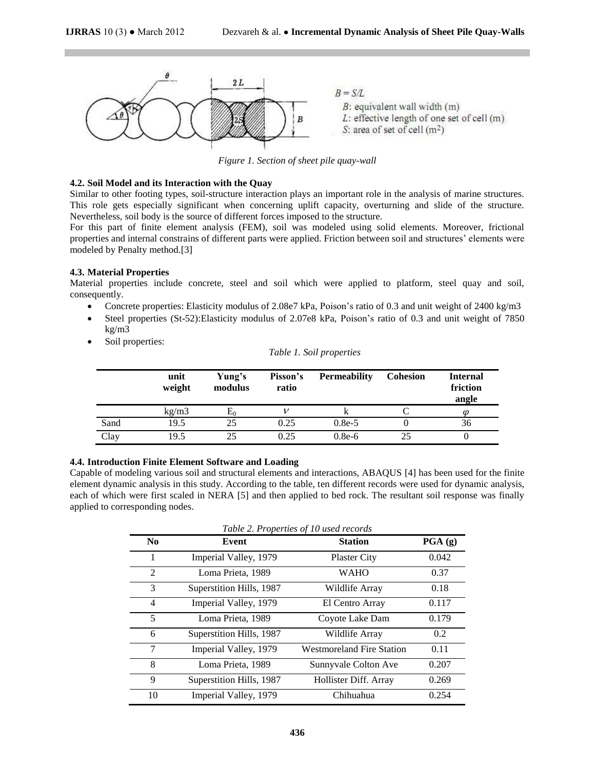

*Figure 1. Section of sheet pile quay-wall*

## **4.2. Soil Model and its Interaction with the Quay**

Similar to other footing types, soil-structure interaction plays an important role in the analysis of marine structures. This role gets especially significant when concerning uplift capacity, overturning and slide of the structure. Nevertheless, soil body is the source of different forces imposed to the structure.

For this part of finite element analysis (FEM), soil was modeled using solid elements. Moreover, frictional properties and internal constrains of different parts were applied. Friction between soil and structures' elements were modeled by Penalty method.[3]

#### **4.3. Material Properties**

Material properties include concrete, steel and soil which were applied to platform, steel quay and soil, consequently.

- Concrete properties: Elasticity modulus of 2.08e7 kPa, Poison's ratio of 0.3 and unit weight of 2400 kg/m3
- Steel properties (St-52):Elasticity modulus of 2.07e8 kPa, Poison's ratio of 0.3 and unit weight of 7850 kg/m3
- Soil properties:

|      | unit<br>weight | Yung's<br>modulus | Pisson's<br>ratio | <b>Permeability</b> | <b>Cohesion</b> | <b>Internal</b><br>friction<br>angle |
|------|----------------|-------------------|-------------------|---------------------|-----------------|--------------------------------------|
|      | kg/m3          | $E_0$             |                   | ĸ                   |                 | ω                                    |
| Sand | 19.5           | 25                | 0.25              | $0.8e-5$            |                 | 36                                   |
| Clay | 19.5           | 25                | 0.25              | $0.8e-6$            | 25              |                                      |

*Table 1. Soil properties*

# **4.4. Introduction Finite Element Software and Loading**

Capable of modeling various soil and structural elements and interactions, ABAQUS [4] has been used for the finite element dynamic analysis in this study. According to the table, ten different records were used for dynamic analysis, each of which were first scaled in NERA [5] and then applied to bed rock. The resultant soil response was finally applied to corresponding nodes.

|                          | Table 2. Properties of 10 used records |                                  |                    |  |  |
|--------------------------|----------------------------------------|----------------------------------|--------------------|--|--|
| N <sub>0</sub>           | Event                                  | <b>Station</b>                   | $\textbf{PGA}$ (g) |  |  |
| 1                        | Imperial Valley, 1979                  | <b>Plaster City</b>              | 0.042              |  |  |
| $\mathcal{L}$            | Loma Prieta, 1989                      | <b>WAHO</b>                      | 0.37               |  |  |
| $\mathcal{R}$            | Superstition Hills, 1987               | Wildlife Array                   | 0.18               |  |  |
| $\overline{\mathcal{A}}$ | Imperial Valley, 1979                  | El Centro Array                  | 0.117              |  |  |
| 5                        | Loma Prieta, 1989                      | Coyote Lake Dam                  | 0.179              |  |  |
| 6                        | Superstition Hills, 1987               | Wildlife Array                   | $0.2^{\circ}$      |  |  |
| 7                        | Imperial Valley, 1979                  | <b>Westmoreland Fire Station</b> | 0.11               |  |  |
| 8                        | Loma Prieta, 1989                      | Sunnyvale Colton Ave             | 0.207              |  |  |
| 9                        | Superstition Hills, 1987               | Hollister Diff. Array            | 0.269              |  |  |
| 10                       | Imperial Valley, 1979                  | Chihuahua                        | 0.254              |  |  |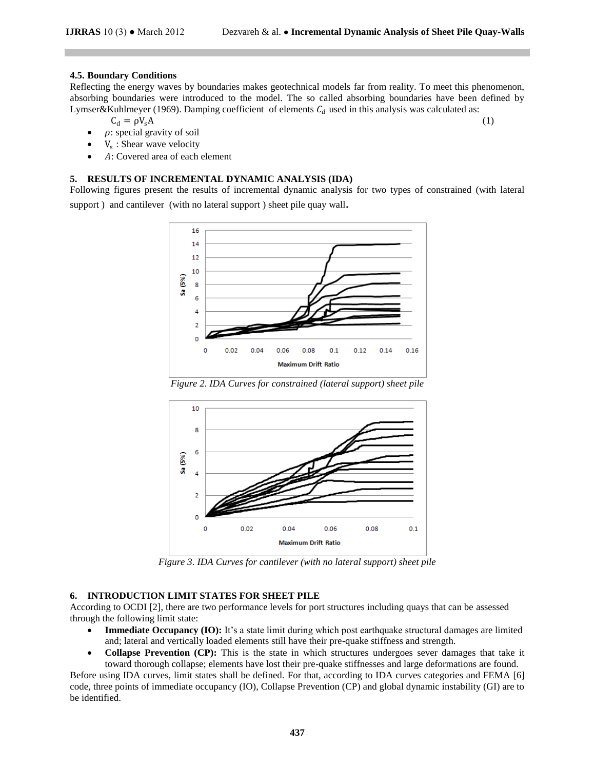### **4.5. Boundary Conditions**

Reflecting the energy waves by boundaries makes geotechnical models far from reality. To meet this phenomenon, absorbing boundaries were introduced to the model. The so called absorbing boundaries have been defined by Lymser&Kuhlmeyer (1969). Damping coefficient of elements  $C_d$  used in this analysis was calculated as:

$$
C_d = \rho V_s A \tag{1}
$$

- $\rho$ : special gravity of soil
- $\bullet$   $V_s$ : Shear wave velocity
- : Covered area of each element

#### **5. RESULTS OF INCREMENTAL DYNAMIC ANALYSIS (IDA)**

Following figures present the results of incremental dynamic analysis for two types of constrained (with lateral support ) and cantilever (with no lateral support ) sheet pile quay wall.



*Figure 2. IDA Curves for constrained (lateral support) sheet pile*



*Figure 3. IDA Curves for cantilever (with no lateral support) sheet pile*

## **6. INTRODUCTION LIMIT STATES FOR SHEET PILE**

According to OCDI [2], there are two performance levels for port structures including quays that can be assessed through the following limit state:

- **Immediate Occupancy (IO):** It's a state limit during which post earthquake structural damages are limited and; lateral and vertically loaded elements still have their pre-quake stiffness and strength.
- **Collapse Prevention (CP):** This is the state in which structures undergoes sever damages that take it toward thorough collapse; elements have lost their pre-quake stiffnesses and large deformations are found.

Before using IDA curves, limit states shall be defined. For that, according to IDA curves categories and FEMA [6] code, three points of immediate occupancy (IO), Collapse Prevention (CP) and global dynamic instability (GI) are to be identified.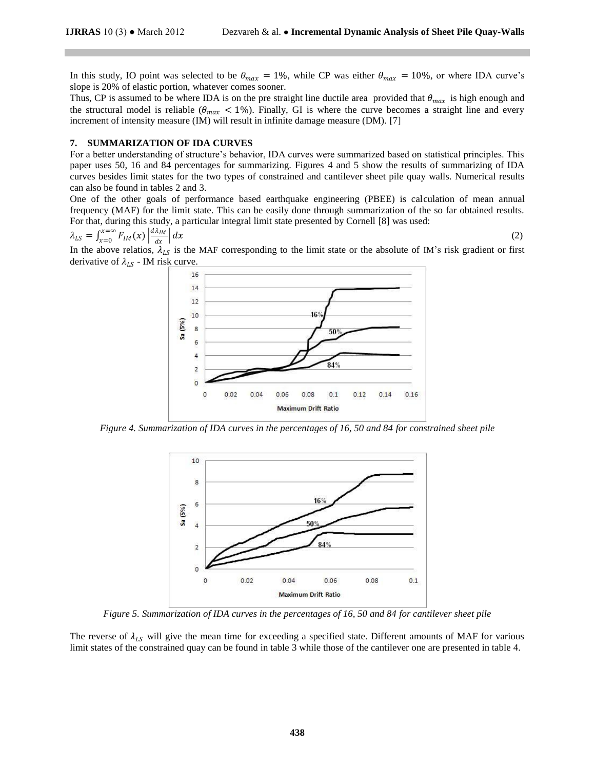In this study, IO point was selected to be  $\theta_{max} = 1\%$ , while CP was either  $\theta_{max} = 10\%$ , or where IDA curve's slope is 20% of elastic portion, whatever comes sooner.

Thus, CP is assumed to be where IDA is on the pre straight line ductile area provided that  $\theta_{max}$  is high enough and the structural model is reliable ( $\theta_{max}$  < 1%). Finally, GI is where the curve becomes a straight line and every increment of intensity measure (IM) will result in infinite damage measure (DM). [7]

#### **7. SUMMARIZATION OF IDA CURVES**

For a better understanding of structure's behavior, IDA curves were summarized based on statistical principles. This paper uses 50, 16 and 84 percentages for summarizing. Figures 4 and 5 show the results of summarizing of IDA curves besides limit states for the two types of constrained and cantilever sheet pile quay walls. Numerical results can also be found in tables 2 and 3.

One of the other goals of performance based earthquake engineering (PBEE) is calculation of mean annual frequency (MAF) for the limit state. This can be easily done through summarization of the so far obtained results. For that, during this study, a particular integral limit state presented by Cornell [8] was used:

$$
\lambda_{LS} = \int_{x=0}^{x=\infty} F_{IM}(x) \left| \frac{d\lambda_{IM}}{dx} \right| dx \tag{2}
$$

In the above relatios,  $\lambda_{LS}$  is the MAF corresponding to the limit state or the absolute of IM's risk gradient or first derivative of  $\lambda_{LS}$  - IM risk curve.



*Figure 4. Summarization of IDA curves in the percentages of 16, 50 and 84 for constrained sheet pile* 



*Figure 5. Summarization of IDA curves in the percentages of 16, 50 and 84 for cantilever sheet pile*

The reverse of  $\lambda_{LS}$  will give the mean time for exceeding a specified state. Different amounts of MAF for various limit states of the constrained quay can be found in table 3 while those of the cantilever one are presented in table 4.